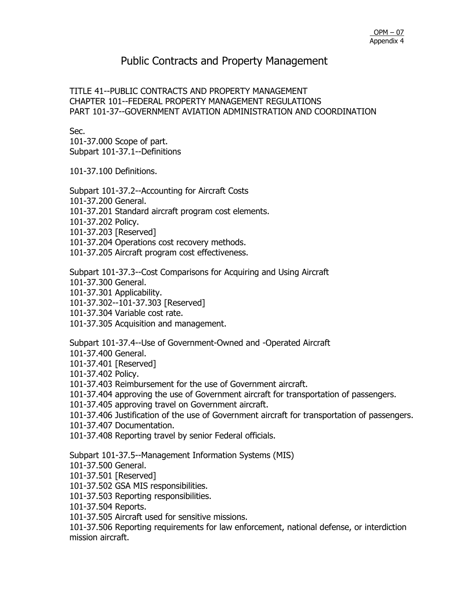TITLE 41--PUBLIC CONTRACTS AND PROPERTY MANAGEMENT CHAPTER 101--FEDERAL PROPERTY MANAGEMENT REGULATIONS PART 101-37--GOVERNMENT AVIATION ADMINISTRATION AND COORDINATION

Sec.

101-37.000 Scope of part. Subpart 101-37.1--Definitions

101-37.100 Definitions.

Subpart 101-37.2--Accounting for Aircraft Costs

101-37.200 General.

101-37.201 Standard aircraft program cost elements.

101-37.202 Policy.

101-37.203 [Reserved]

101-37.204 Operations cost recovery methods.

101-37.205 Aircraft program cost effectiveness.

Subpart 101-37.3--Cost Comparisons for Acquiring and Using Aircraft

101-37.300 General.

101-37.301 Applicability.

101-37.302--101-37.303 [Reserved]

101-37.304 Variable cost rate.

101-37.305 Acquisition and management.

Subpart 101-37.4--Use of Government-Owned and -Operated Aircraft

101-37.400 General.

101-37.401 [Reserved]

101-37.402 Policy.

101-37.403 Reimbursement for the use of Government aircraft.

101-37.404 approving the use of Government aircraft for transportation of passengers.

101-37.405 approving travel on Government aircraft.

101-37.406 Justification of the use of Government aircraft for transportation of passengers.

101-37.407 Documentation.

101-37.408 Reporting travel by senior Federal officials.

Subpart 101-37.5--Management Information Systems (MIS)

101-37.500 General.

101-37.501 [Reserved]

101-37.502 GSA MIS responsibilities.

101-37.503 Reporting responsibilities.

101-37.504 Reports.

101-37.505 Aircraft used for sensitive missions.

101-37.506 Reporting requirements for law enforcement, national defense, or interdiction mission aircraft.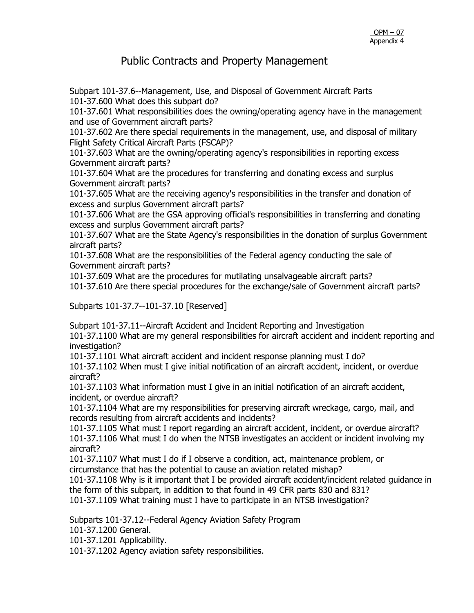Subpart 101-37.6--Management, Use, and Disposal of Government Aircraft Parts 101-37.600 What does this subpart do?

101-37.601 What responsibilities does the owning/operating agency have in the management and use of Government aircraft parts?

101-37.602 Are there special requirements in the management, use, and disposal of military Flight Safety Critical Aircraft Parts (FSCAP)?

101-37.603 What are the owning/operating agency's responsibilities in reporting excess Government aircraft parts?

101-37.604 What are the procedures for transferring and donating excess and surplus Government aircraft parts?

101-37.605 What are the receiving agency's responsibilities in the transfer and donation of excess and surplus Government aircraft parts?

101-37.606 What are the GSA approving official's responsibilities in transferring and donating excess and surplus Government aircraft parts?

101-37.607 What are the State Agency's responsibilities in the donation of surplus Government aircraft parts?

101-37.608 What are the responsibilities of the Federal agency conducting the sale of Government aircraft parts?

101-37.609 What are the procedures for mutilating unsalvageable aircraft parts?

101-37.610 Are there special procedures for the exchange/sale of Government aircraft parts?

Subparts 101-37.7--101-37.10 [Reserved]

Subpart 101-37.11--Aircraft Accident and Incident Reporting and Investigation

101-37.1100 What are my general responsibilities for aircraft accident and incident reporting and investigation?

101-37.1101 What aircraft accident and incident response planning must I do?

101-37.1102 When must I give initial notification of an aircraft accident, incident, or overdue aircraft?

101-37.1103 What information must I give in an initial notification of an aircraft accident, incident, or overdue aircraft?

101-37.1104 What are my responsibilities for preserving aircraft wreckage, cargo, mail, and records resulting from aircraft accidents and incidents?

101-37.1105 What must I report regarding an aircraft accident, incident, or overdue aircraft? 101-37.1106 What must I do when the NTSB investigates an accident or incident involving my aircraft?

101-37.1107 What must I do if I observe a condition, act, maintenance problem, or circumstance that has the potential to cause an aviation related mishap?

101-37.1108 Why is it important that I be provided aircraft accident/incident related guidance in the form of this subpart, in addition to that found in 49 CFR parts 830 and 831?

101-37.1109 What training must I have to participate in an NTSB investigation?

Subparts 101-37.12--Federal Agency Aviation Safety Program

101-37.1200 General.

101-37.1201 Applicability.

101-37.1202 Agency aviation safety responsibilities.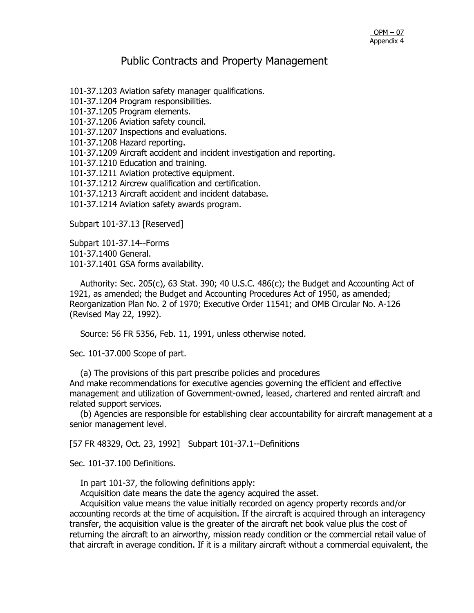101-37.1203 Aviation safety manager qualifications.

101-37.1204 Program responsibilities.

101-37.1205 Program elements.

101-37.1206 Aviation safety council.

101-37.1207 Inspections and evaluations.

101-37.1208 Hazard reporting.

101-37.1209 Aircraft accident and incident investigation and reporting.

101-37.1210 Education and training.

101-37.1211 Aviation protective equipment.

101-37.1212 Aircrew qualification and certification.

101-37.1213 Aircraft accident and incident database.

101-37.1214 Aviation safety awards program.

Subpart 101-37.13 [Reserved]

Subpart 101-37.14--Forms 101-37.1400 General. 101-37.1401 GSA forms availability.

Authority: Sec. 205(c), 63 Stat. 390; 40 U.S.C.  $486(c)$ ; the Budget and Accounting Act of 1921, as amended; the Budget and Accounting Procedures Act of 1950, as amended; Reorganization Plan No. 2 of 1970; Executive Order 11541; and OMB Circular No. A-126 (Revised May 22, 1992).

Source: 56 FR 5356, Feb. 11, 1991, unless otherwise noted.

Sec. 101-37.000 Scope of part.

 (a) The provisions of this part prescribe policies and procedures And make recommendations for executive agencies governing the efficient and effective management and utilization of Government-owned, leased, chartered and rented aircraft and related support services.

 (b) Agencies are responsible for establishing clear accountability for aircraft management at a senior management level.

[57 FR 48329, Oct. 23, 1992] Subpart 101-37.1--Definitions

Sec. 101-37.100 Definitions.

In part 101-37, the following definitions apply:

Acquisition date means the date the agency acquired the asset.

 Acquisition value means the value initially recorded on agency property records and/or accounting records at the time of acquisition. If the aircraft is acquired through an interagency transfer, the acquisition value is the greater of the aircraft net book value plus the cost of returning the aircraft to an airworthy, mission ready condition or the commercial retail value of that aircraft in average condition. If it is a military aircraft without a commercial equivalent, the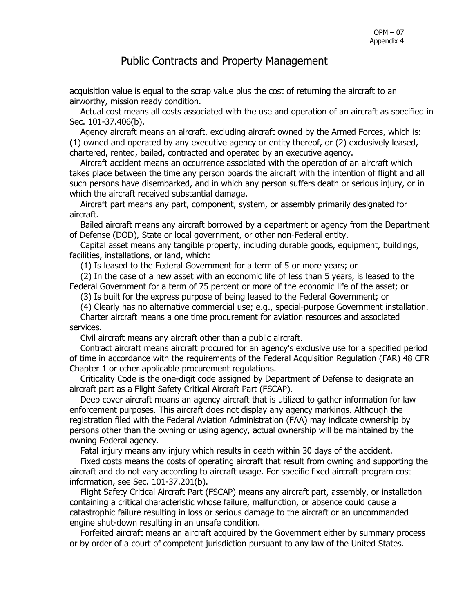acquisition value is equal to the scrap value plus the cost of returning the aircraft to an airworthy, mission ready condition.

 Actual cost means all costs associated with the use and operation of an aircraft as specified in Sec. 101-37.406(b).

 Agency aircraft means an aircraft, excluding aircraft owned by the Armed Forces, which is: (1) owned and operated by any executive agency or entity thereof, or (2) exclusively leased, chartered, rented, bailed, contracted and operated by an executive agency.

 Aircraft accident means an occurrence associated with the operation of an aircraft which takes place between the time any person boards the aircraft with the intention of flight and all such persons have disembarked, and in which any person suffers death or serious injury, or in which the aircraft received substantial damage.

 Aircraft part means any part, component, system, or assembly primarily designated for aircraft.

 Bailed aircraft means any aircraft borrowed by a department or agency from the Department of Defense (DOD), State or local government, or other non-Federal entity.

 Capital asset means any tangible property, including durable goods, equipment, buildings, facilities, installations, or land, which:

(1) Is leased to the Federal Government for a term of 5 or more years; or

 (2) In the case of a new asset with an economic life of less than 5 years, is leased to the Federal Government for a term of 75 percent or more of the economic life of the asset; or

(3) Is built for the express purpose of being leased to the Federal Government; or

(4) Clearly has no alternative commercial use; e.g., special-purpose Government installation.

 Charter aircraft means a one time procurement for aviation resources and associated services.

Civil aircraft means any aircraft other than a public aircraft.

 Contract aircraft means aircraft procured for an agency's exclusive use for a specified period of time in accordance with the requirements of the Federal Acquisition Regulation (FAR) 48 CFR Chapter 1 or other applicable procurement regulations.

 Criticality Code is the one-digit code assigned by Department of Defense to designate an aircraft part as a Flight Safety Critical Aircraft Part (FSCAP).

 Deep cover aircraft means an agency aircraft that is utilized to gather information for law enforcement purposes. This aircraft does not display any agency markings. Although the registration filed with the Federal Aviation Administration (FAA) may indicate ownership by persons other than the owning or using agency, actual ownership will be maintained by the owning Federal agency.

Fatal injury means any injury which results in death within 30 days of the accident.

 Fixed costs means the costs of operating aircraft that result from owning and supporting the aircraft and do not vary according to aircraft usage. For specific fixed aircraft program cost information, see Sec. 101-37.201(b).

 Flight Safety Critical Aircraft Part (FSCAP) means any aircraft part, assembly, or installation containing a critical characteristic whose failure, malfunction, or absence could cause a catastrophic failure resulting in loss or serious damage to the aircraft or an uncommanded engine shut-down resulting in an unsafe condition.

 Forfeited aircraft means an aircraft acquired by the Government either by summary process or by order of a court of competent jurisdiction pursuant to any law of the United States.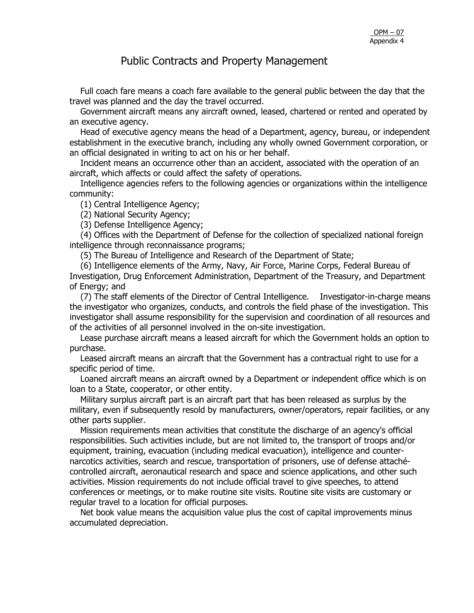Full coach fare means a coach fare available to the general public between the day that the travel was planned and the day the travel occurred.

 Government aircraft means any aircraft owned, leased, chartered or rented and operated by an executive agency.

 Head of executive agency means the head of a Department, agency, bureau, or independent establishment in the executive branch, including any wholly owned Government corporation, or an official designated in writing to act on his or her behalf.

 Incident means an occurrence other than an accident, associated with the operation of an aircraft, which affects or could affect the safety of operations.

 Intelligence agencies refers to the following agencies or organizations within the intelligence community:

(1) Central Intelligence Agency;

(2) National Security Agency;

(3) Defense Intelligence Agency;

 (4) Offices with the Department of Defense for the collection of specialized national foreign intelligence through reconnaissance programs;

(5) The Bureau of Intelligence and Research of the Department of State;

 (6) Intelligence elements of the Army, Navy, Air Force, Marine Corps, Federal Bureau of Investigation, Drug Enforcement Administration, Department of the Treasury, and Department of Energy; and

 (7) The staff elements of the Director of Central Intelligence. Investigator-in-charge means the investigator who organizes, conducts, and controls the field phase of the investigation. This investigator shall assume responsibility for the supervision and coordination of all resources and of the activities of all personnel involved in the on-site investigation.

 Lease purchase aircraft means a leased aircraft for which the Government holds an option to purchase.

 Leased aircraft means an aircraft that the Government has a contractual right to use for a specific period of time.

 Loaned aircraft means an aircraft owned by a Department or independent office which is on loan to a State, cooperator, or other entity.

 Military surplus aircraft part is an aircraft part that has been released as surplus by the military, even if subsequently resold by manufacturers, owner/operators, repair facilities, or any other parts supplier.

 Mission requirements mean activities that constitute the discharge of an agency's official responsibilities. Such activities include, but are not limited to, the transport of troops and/or equipment, training, evacuation (including medical evacuation), intelligence and counternarcotics activities, search and rescue, transportation of prisoners, use of defense attachécontrolled aircraft, aeronautical research and space and science applications, and other such activities. Mission requirements do not include official travel to give speeches, to attend conferences or meetings, or to make routine site visits. Routine site visits are customary or regular travel to a location for official purposes.

 Net book value means the acquisition value plus the cost of capital improvements minus accumulated depreciation.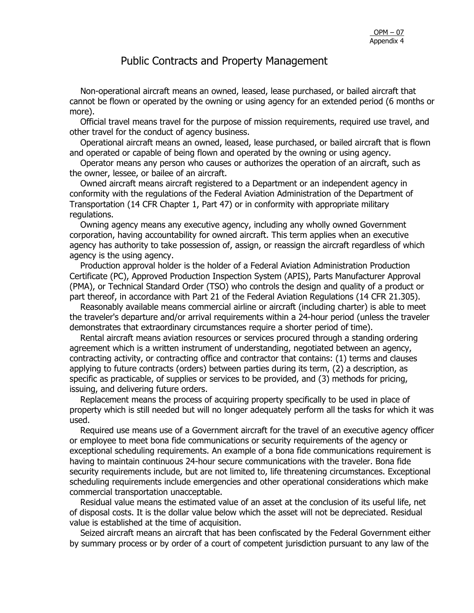Non-operational aircraft means an owned, leased, lease purchased, or bailed aircraft that cannot be flown or operated by the owning or using agency for an extended period (6 months or more).

 Official travel means travel for the purpose of mission requirements, required use travel, and other travel for the conduct of agency business.

 Operational aircraft means an owned, leased, lease purchased, or bailed aircraft that is flown and operated or capable of being flown and operated by the owning or using agency.

 Operator means any person who causes or authorizes the operation of an aircraft, such as the owner, lessee, or bailee of an aircraft.

 Owned aircraft means aircraft registered to a Department or an independent agency in conformity with the regulations of the Federal Aviation Administration of the Department of Transportation (14 CFR Chapter 1, Part 47) or in conformity with appropriate military regulations.

 Owning agency means any executive agency, including any wholly owned Government corporation, having accountability for owned aircraft. This term applies when an executive agency has authority to take possession of, assign, or reassign the aircraft regardless of which agency is the using agency.

 Production approval holder is the holder of a Federal Aviation Administration Production Certificate (PC), Approved Production Inspection System (APIS), Parts Manufacturer Approval (PMA), or Technical Standard Order (TSO) who controls the design and quality of a product or part thereof, in accordance with Part 21 of the Federal Aviation Regulations (14 CFR 21.305).

 Reasonably available means commercial airline or aircraft (including charter) is able to meet the traveler's departure and/or arrival requirements within a 24-hour period (unless the traveler demonstrates that extraordinary circumstances require a shorter period of time).

 Rental aircraft means aviation resources or services procured through a standing ordering agreement which is a written instrument of understanding, negotiated between an agency, contracting activity, or contracting office and contractor that contains: (1) terms and clauses applying to future contracts (orders) between parties during its term, (2) a description, as specific as practicable, of supplies or services to be provided, and (3) methods for pricing, issuing, and delivering future orders.

 Replacement means the process of acquiring property specifically to be used in place of property which is still needed but will no longer adequately perform all the tasks for which it was used.

 Required use means use of a Government aircraft for the travel of an executive agency officer or employee to meet bona fide communications or security requirements of the agency or exceptional scheduling requirements. An example of a bona fide communications requirement is having to maintain continuous 24-hour secure communications with the traveler. Bona fide security requirements include, but are not limited to, life threatening circumstances. Exceptional scheduling requirements include emergencies and other operational considerations which make commercial transportation unacceptable.

 Residual value means the estimated value of an asset at the conclusion of its useful life, net of disposal costs. It is the dollar value below which the asset will not be depreciated. Residual value is established at the time of acquisition.

 Seized aircraft means an aircraft that has been confiscated by the Federal Government either by summary process or by order of a court of competent jurisdiction pursuant to any law of the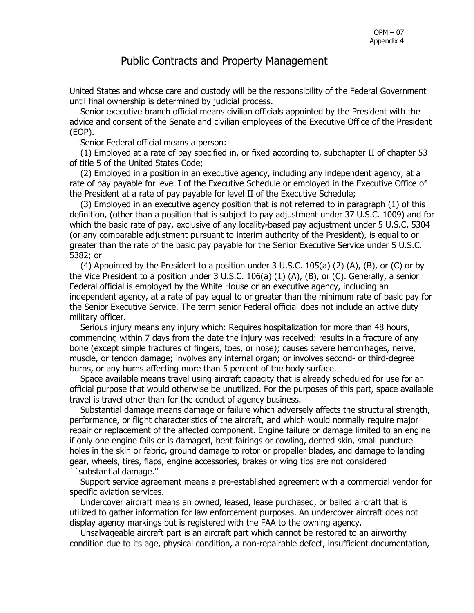United States and whose care and custody will be the responsibility of the Federal Government until final ownership is determined by judicial process.

 Senior executive branch official means civilian officials appointed by the President with the advice and consent of the Senate and civilian employees of the Executive Office of the President (EOP).

Senior Federal official means a person:

 (1) Employed at a rate of pay specified in, or fixed according to, subchapter II of chapter 53 of title 5 of the United States Code;

 (2) Employed in a position in an executive agency, including any independent agency, at a rate of pay payable for level I of the Executive Schedule or employed in the Executive Office of the President at a rate of pay payable for level II of the Executive Schedule;

 (3) Employed in an executive agency position that is not referred to in paragraph (1) of this definition, (other than a position that is subject to pay adjustment under 37 U.S.C. 1009) and for which the basic rate of pay, exclusive of any locality-based pay adjustment under 5 U.S.C. 5304 (or any comparable adjustment pursuant to interim authority of the President), is equal to or greater than the rate of the basic pay payable for the Senior Executive Service under 5 U.S.C. 5382; or

(4) Appointed by the President to a position under  $3$  U.S.C. 105(a) (2) (A), (B), or (C) or by the Vice President to a position under 3 U.S.C. 106(a) (1) (A), (B), or (C). Generally, a senior Federal official is employed by the White House or an executive agency, including an independent agency, at a rate of pay equal to or greater than the minimum rate of basic pay for the Senior Executive Service. The term senior Federal official does not include an active duty military officer.

 Serious injury means any injury which: Requires hospitalization for more than 48 hours, commencing within 7 days from the date the injury was received: results in a fracture of any bone (except simple fractures of fingers, toes, or nose); causes severe hemorrhages, nerve, muscle, or tendon damage; involves any internal organ; or involves second- or third-degree burns, or any burns affecting more than 5 percent of the body surface.

 Space available means travel using aircraft capacity that is already scheduled for use for an official purpose that would otherwise be unutilized. For the purposes of this part, space available travel is travel other than for the conduct of agency business.

 Substantial damage means damage or failure which adversely affects the structural strength, performance, or flight characteristics of the aircraft, and which would normally require major repair or replacement of the affected component. Engine failure or damage limited to an engine if only one engine fails or is damaged, bent fairings or cowling, dented skin, small puncture holes in the skin or fabric, ground damage to rotor or propeller blades, and damage to landing gear, wheels, tires, flaps, engine accessories, brakes or wing tips are not considered ``substantial damage.''

 Support service agreement means a pre-established agreement with a commercial vendor for specific aviation services.

 Undercover aircraft means an owned, leased, lease purchased, or bailed aircraft that is utilized to gather information for law enforcement purposes. An undercover aircraft does not display agency markings but is registered with the FAA to the owning agency.

 Unsalvageable aircraft part is an aircraft part which cannot be restored to an airworthy condition due to its age, physical condition, a non-repairable defect, insufficient documentation,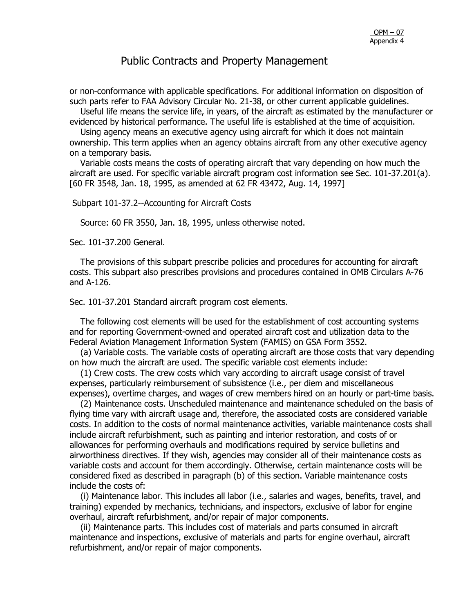or non-conformance with applicable specifications. For additional information on disposition of such parts refer to FAA Advisory Circular No. 21-38, or other current applicable guidelines.

 Useful life means the service life, in years, of the aircraft as estimated by the manufacturer or evidenced by historical performance. The useful life is established at the time of acquisition.

 Using agency means an executive agency using aircraft for which it does not maintain ownership. This term applies when an agency obtains aircraft from any other executive agency on a temporary basis.

 Variable costs means the costs of operating aircraft that vary depending on how much the aircraft are used. For specific variable aircraft program cost information see Sec. 101-37.201(a). [60 FR 3548, Jan. 18, 1995, as amended at 62 FR 43472, Aug. 14, 1997]

#### Subpart 101-37.2--Accounting for Aircraft Costs

Source: 60 FR 3550, Jan. 18, 1995, unless otherwise noted.

Sec. 101-37.200 General.

 The provisions of this subpart prescribe policies and procedures for accounting for aircraft costs. This subpart also prescribes provisions and procedures contained in OMB Circulars A-76 and A-126.

Sec. 101-37.201 Standard aircraft program cost elements.

 The following cost elements will be used for the establishment of cost accounting systems and for reporting Government-owned and operated aircraft cost and utilization data to the Federal Aviation Management Information System (FAMIS) on GSA Form 3552.

 (a) Variable costs. The variable costs of operating aircraft are those costs that vary depending on how much the aircraft are used. The specific variable cost elements include:

 (1) Crew costs. The crew costs which vary according to aircraft usage consist of travel expenses, particularly reimbursement of subsistence (i.e., per diem and miscellaneous expenses), overtime charges, and wages of crew members hired on an hourly or part-time basis.

 (2) Maintenance costs. Unscheduled maintenance and maintenance scheduled on the basis of flying time vary with aircraft usage and, therefore, the associated costs are considered variable costs. In addition to the costs of normal maintenance activities, variable maintenance costs shall include aircraft refurbishment, such as painting and interior restoration, and costs of or allowances for performing overhauls and modifications required by service bulletins and airworthiness directives. If they wish, agencies may consider all of their maintenance costs as variable costs and account for them accordingly. Otherwise, certain maintenance costs will be considered fixed as described in paragraph (b) of this section. Variable maintenance costs include the costs of:

 (i) Maintenance labor. This includes all labor (i.e., salaries and wages, benefits, travel, and training) expended by mechanics, technicians, and inspectors, exclusive of labor for engine overhaul, aircraft refurbishment, and/or repair of major components.

 (ii) Maintenance parts. This includes cost of materials and parts consumed in aircraft maintenance and inspections, exclusive of materials and parts for engine overhaul, aircraft refurbishment, and/or repair of major components.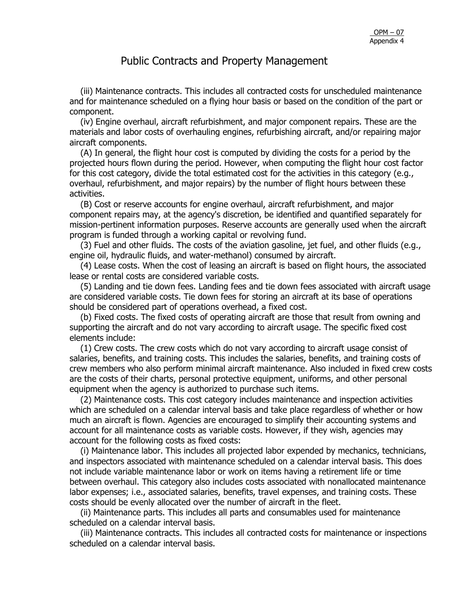(iii) Maintenance contracts. This includes all contracted costs for unscheduled maintenance and for maintenance scheduled on a flying hour basis or based on the condition of the part or component.

 (iv) Engine overhaul, aircraft refurbishment, and major component repairs. These are the materials and labor costs of overhauling engines, refurbishing aircraft, and/or repairing major aircraft components.

 (A) In general, the flight hour cost is computed by dividing the costs for a period by the projected hours flown during the period. However, when computing the flight hour cost factor for this cost category, divide the total estimated cost for the activities in this category (e.g., overhaul, refurbishment, and major repairs) by the number of flight hours between these activities.

 (B) Cost or reserve accounts for engine overhaul, aircraft refurbishment, and major component repairs may, at the agency's discretion, be identified and quantified separately for mission-pertinent information purposes. Reserve accounts are generally used when the aircraft program is funded through a working capital or revolving fund.

 (3) Fuel and other fluids. The costs of the aviation gasoline, jet fuel, and other fluids (e.g., engine oil, hydraulic fluids, and water-methanol) consumed by aircraft.

 (4) Lease costs. When the cost of leasing an aircraft is based on flight hours, the associated lease or rental costs are considered variable costs.

 (5) Landing and tie down fees. Landing fees and tie down fees associated with aircraft usage are considered variable costs. Tie down fees for storing an aircraft at its base of operations should be considered part of operations overhead, a fixed cost.

 (b) Fixed costs. The fixed costs of operating aircraft are those that result from owning and supporting the aircraft and do not vary according to aircraft usage. The specific fixed cost elements include:

 (1) Crew costs. The crew costs which do not vary according to aircraft usage consist of salaries, benefits, and training costs. This includes the salaries, benefits, and training costs of crew members who also perform minimal aircraft maintenance. Also included in fixed crew costs are the costs of their charts, personal protective equipment, uniforms, and other personal equipment when the agency is authorized to purchase such items.

 (2) Maintenance costs. This cost category includes maintenance and inspection activities which are scheduled on a calendar interval basis and take place regardless of whether or how much an aircraft is flown. Agencies are encouraged to simplify their accounting systems and account for all maintenance costs as variable costs. However, if they wish, agencies may account for the following costs as fixed costs:

 (i) Maintenance labor. This includes all projected labor expended by mechanics, technicians, and inspectors associated with maintenance scheduled on a calendar interval basis. This does not include variable maintenance labor or work on items having a retirement life or time between overhaul. This category also includes costs associated with nonallocated maintenance labor expenses; i.e., associated salaries, benefits, travel expenses, and training costs. These costs should be evenly allocated over the number of aircraft in the fleet.

 (ii) Maintenance parts. This includes all parts and consumables used for maintenance scheduled on a calendar interval basis.

 (iii) Maintenance contracts. This includes all contracted costs for maintenance or inspections scheduled on a calendar interval basis.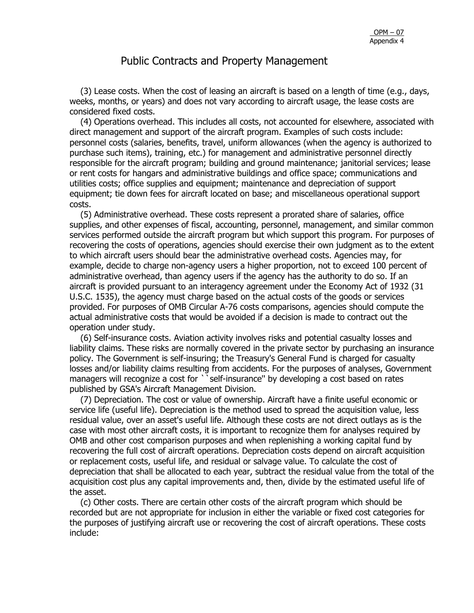(3) Lease costs. When the cost of leasing an aircraft is based on a length of time (e.g., days, weeks, months, or years) and does not vary according to aircraft usage, the lease costs are considered fixed costs.

 (4) Operations overhead. This includes all costs, not accounted for elsewhere, associated with direct management and support of the aircraft program. Examples of such costs include: personnel costs (salaries, benefits, travel, uniform allowances (when the agency is authorized to purchase such items), training, etc.) for management and administrative personnel directly responsible for the aircraft program; building and ground maintenance; janitorial services; lease or rent costs for hangars and administrative buildings and office space; communications and utilities costs; office supplies and equipment; maintenance and depreciation of support equipment; tie down fees for aircraft located on base; and miscellaneous operational support costs.

 (5) Administrative overhead. These costs represent a prorated share of salaries, office supplies, and other expenses of fiscal, accounting, personnel, management, and similar common services performed outside the aircraft program but which support this program. For purposes of recovering the costs of operations, agencies should exercise their own judgment as to the extent to which aircraft users should bear the administrative overhead costs. Agencies may, for example, decide to charge non-agency users a higher proportion, not to exceed 100 percent of administrative overhead, than agency users if the agency has the authority to do so. If an aircraft is provided pursuant to an interagency agreement under the Economy Act of 1932 (31 U.S.C. 1535), the agency must charge based on the actual costs of the goods or services provided. For purposes of OMB Circular A-76 costs comparisons, agencies should compute the actual administrative costs that would be avoided if a decision is made to contract out the operation under study.

 (6) Self-insurance costs. Aviation activity involves risks and potential casualty losses and liability claims. These risks are normally covered in the private sector by purchasing an insurance policy. The Government is self-insuring; the Treasury's General Fund is charged for casualty losses and/or liability claims resulting from accidents. For the purposes of analyses, Government managers will recognize a cost for ``self-insurance" by developing a cost based on rates published by GSA's Aircraft Management Division.

 (7) Depreciation. The cost or value of ownership. Aircraft have a finite useful economic or service life (useful life). Depreciation is the method used to spread the acquisition value, less residual value, over an asset's useful life. Although these costs are not direct outlays as is the case with most other aircraft costs, it is important to recognize them for analyses required by OMB and other cost comparison purposes and when replenishing a working capital fund by recovering the full cost of aircraft operations. Depreciation costs depend on aircraft acquisition or replacement costs, useful life, and residual or salvage value. To calculate the cost of depreciation that shall be allocated to each year, subtract the residual value from the total of the acquisition cost plus any capital improvements and, then, divide by the estimated useful life of the asset.

 (c) Other costs. There are certain other costs of the aircraft program which should be recorded but are not appropriate for inclusion in either the variable or fixed cost categories for the purposes of justifying aircraft use or recovering the cost of aircraft operations. These costs include: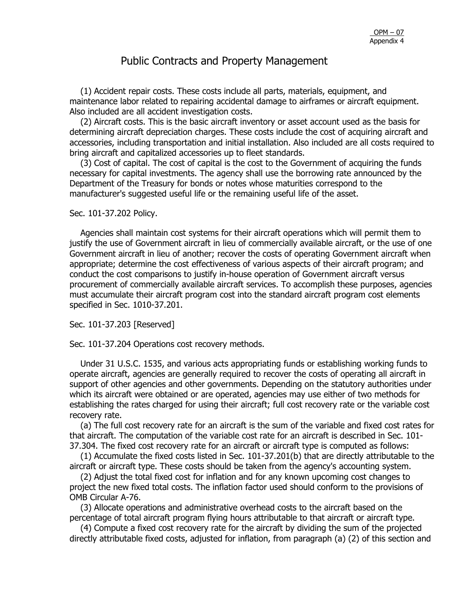(1) Accident repair costs. These costs include all parts, materials, equipment, and maintenance labor related to repairing accidental damage to airframes or aircraft equipment. Also included are all accident investigation costs.

 (2) Aircraft costs. This is the basic aircraft inventory or asset account used as the basis for determining aircraft depreciation charges. These costs include the cost of acquiring aircraft and accessories, including transportation and initial installation. Also included are all costs required to bring aircraft and capitalized accessories up to fleet standards.

 (3) Cost of capital. The cost of capital is the cost to the Government of acquiring the funds necessary for capital investments. The agency shall use the borrowing rate announced by the Department of the Treasury for bonds or notes whose maturities correspond to the manufacturer's suggested useful life or the remaining useful life of the asset.

#### Sec. 101-37.202 Policy.

 Agencies shall maintain cost systems for their aircraft operations which will permit them to justify the use of Government aircraft in lieu of commercially available aircraft, or the use of one Government aircraft in lieu of another; recover the costs of operating Government aircraft when appropriate; determine the cost effectiveness of various aspects of their aircraft program; and conduct the cost comparisons to justify in-house operation of Government aircraft versus procurement of commercially available aircraft services. To accomplish these purposes, agencies must accumulate their aircraft program cost into the standard aircraft program cost elements specified in Sec. 1010-37.201.

Sec. 101-37.203 [Reserved]

Sec. 101-37.204 Operations cost recovery methods.

 Under 31 U.S.C. 1535, and various acts appropriating funds or establishing working funds to operate aircraft, agencies are generally required to recover the costs of operating all aircraft in support of other agencies and other governments. Depending on the statutory authorities under which its aircraft were obtained or are operated, agencies may use either of two methods for establishing the rates charged for using their aircraft; full cost recovery rate or the variable cost recovery rate.

 (a) The full cost recovery rate for an aircraft is the sum of the variable and fixed cost rates for that aircraft. The computation of the variable cost rate for an aircraft is described in Sec. 101- 37.304. The fixed cost recovery rate for an aircraft or aircraft type is computed as follows:

 (1) Accumulate the fixed costs listed in Sec. 101-37.201(b) that are directly attributable to the aircraft or aircraft type. These costs should be taken from the agency's accounting system.

 (2) Adjust the total fixed cost for inflation and for any known upcoming cost changes to project the new fixed total costs. The inflation factor used should conform to the provisions of OMB Circular A-76.

 (3) Allocate operations and administrative overhead costs to the aircraft based on the percentage of total aircraft program flying hours attributable to that aircraft or aircraft type.

 (4) Compute a fixed cost recovery rate for the aircraft by dividing the sum of the projected directly attributable fixed costs, adjusted for inflation, from paragraph (a) (2) of this section and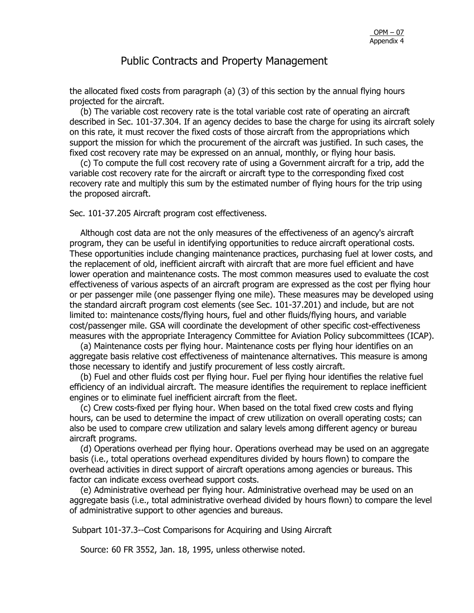the allocated fixed costs from paragraph (a) (3) of this section by the annual flying hours projected for the aircraft.

 (b) The variable cost recovery rate is the total variable cost rate of operating an aircraft described in Sec. 101-37.304. If an agency decides to base the charge for using its aircraft solely on this rate, it must recover the fixed costs of those aircraft from the appropriations which support the mission for which the procurement of the aircraft was justified. In such cases, the fixed cost recovery rate may be expressed on an annual, monthly, or flying hour basis.

 (c) To compute the full cost recovery rate of using a Government aircraft for a trip, add the variable cost recovery rate for the aircraft or aircraft type to the corresponding fixed cost recovery rate and multiply this sum by the estimated number of flying hours for the trip using the proposed aircraft.

Sec. 101-37.205 Aircraft program cost effectiveness.

 Although cost data are not the only measures of the effectiveness of an agency's aircraft program, they can be useful in identifying opportunities to reduce aircraft operational costs. These opportunities include changing maintenance practices, purchasing fuel at lower costs, and the replacement of old, inefficient aircraft with aircraft that are more fuel efficient and have lower operation and maintenance costs. The most common measures used to evaluate the cost effectiveness of various aspects of an aircraft program are expressed as the cost per flying hour or per passenger mile (one passenger flying one mile). These measures may be developed using the standard aircraft program cost elements (see Sec. 101-37.201) and include, but are not limited to: maintenance costs/flying hours, fuel and other fluids/flying hours, and variable cost/passenger mile. GSA will coordinate the development of other specific cost-effectiveness measures with the appropriate Interagency Committee for Aviation Policy subcommittees (ICAP).

 (a) Maintenance costs per flying hour. Maintenance costs per flying hour identifies on an aggregate basis relative cost effectiveness of maintenance alternatives. This measure is among those necessary to identify and justify procurement of less costly aircraft.

 (b) Fuel and other fluids cost per flying hour. Fuel per flying hour identifies the relative fuel efficiency of an individual aircraft. The measure identifies the requirement to replace inefficient engines or to eliminate fuel inefficient aircraft from the fleet.

 (c) Crew costs-fixed per flying hour. When based on the total fixed crew costs and flying hours, can be used to determine the impact of crew utilization on overall operating costs; can also be used to compare crew utilization and salary levels among different agency or bureau aircraft programs.

 (d) Operations overhead per flying hour. Operations overhead may be used on an aggregate basis (i.e., total operations overhead expenditures divided by hours flown) to compare the overhead activities in direct support of aircraft operations among agencies or bureaus. This factor can indicate excess overhead support costs.

 (e) Administrative overhead per flying hour. Administrative overhead may be used on an aggregate basis (i.e., total administrative overhead divided by hours flown) to compare the level of administrative support to other agencies and bureaus.

Subpart 101-37.3--Cost Comparisons for Acquiring and Using Aircraft

Source: 60 FR 3552, Jan. 18, 1995, unless otherwise noted.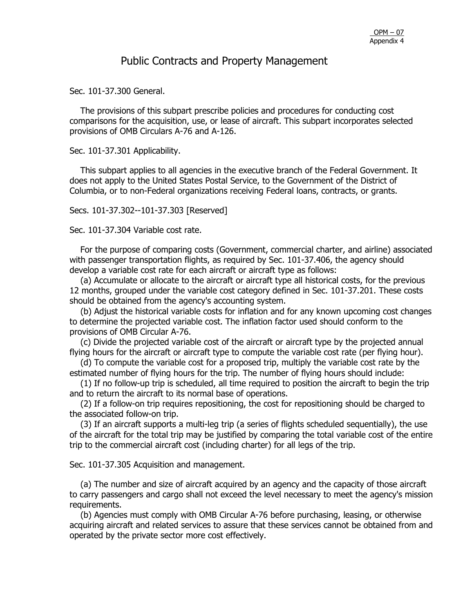Sec. 101-37.300 General.

 The provisions of this subpart prescribe policies and procedures for conducting cost comparisons for the acquisition, use, or lease of aircraft. This subpart incorporates selected provisions of OMB Circulars A-76 and A-126.

Sec. 101-37.301 Applicability.

 This subpart applies to all agencies in the executive branch of the Federal Government. It does not apply to the United States Postal Service, to the Government of the District of Columbia, or to non-Federal organizations receiving Federal loans, contracts, or grants.

Secs. 101-37.302--101-37.303 [Reserved]

Sec. 101-37.304 Variable cost rate.

 For the purpose of comparing costs (Government, commercial charter, and airline) associated with passenger transportation flights, as required by Sec. 101-37.406, the agency should develop a variable cost rate for each aircraft or aircraft type as follows:

 (a) Accumulate or allocate to the aircraft or aircraft type all historical costs, for the previous 12 months, grouped under the variable cost category defined in Sec. 101-37.201. These costs should be obtained from the agency's accounting system.

 (b) Adjust the historical variable costs for inflation and for any known upcoming cost changes to determine the projected variable cost. The inflation factor used should conform to the provisions of OMB Circular A-76.

 (c) Divide the projected variable cost of the aircraft or aircraft type by the projected annual flying hours for the aircraft or aircraft type to compute the variable cost rate (per flying hour).

 (d) To compute the variable cost for a proposed trip, multiply the variable cost rate by the estimated number of flying hours for the trip. The number of flying hours should include:

 (1) If no follow-up trip is scheduled, all time required to position the aircraft to begin the trip and to return the aircraft to its normal base of operations.

 (2) If a follow-on trip requires repositioning, the cost for repositioning should be charged to the associated follow-on trip.

 (3) If an aircraft supports a multi-leg trip (a series of flights scheduled sequentially), the use of the aircraft for the total trip may be justified by comparing the total variable cost of the entire trip to the commercial aircraft cost (including charter) for all legs of the trip.

Sec. 101-37.305 Acquisition and management.

 (a) The number and size of aircraft acquired by an agency and the capacity of those aircraft to carry passengers and cargo shall not exceed the level necessary to meet the agency's mission requirements.

 (b) Agencies must comply with OMB Circular A-76 before purchasing, leasing, or otherwise acquiring aircraft and related services to assure that these services cannot be obtained from and operated by the private sector more cost effectively.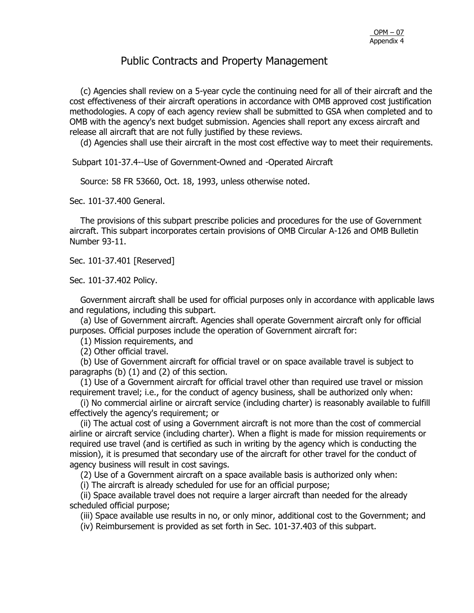(c) Agencies shall review on a 5-year cycle the continuing need for all of their aircraft and the cost effectiveness of their aircraft operations in accordance with OMB approved cost justification methodologies. A copy of each agency review shall be submitted to GSA when completed and to OMB with the agency's next budget submission. Agencies shall report any excess aircraft and release all aircraft that are not fully justified by these reviews.

(d) Agencies shall use their aircraft in the most cost effective way to meet their requirements.

Subpart 101-37.4--Use of Government-Owned and -Operated Aircraft

Source: 58 FR 53660, Oct. 18, 1993, unless otherwise noted.

Sec. 101-37.400 General.

 The provisions of this subpart prescribe policies and procedures for the use of Government aircraft. This subpart incorporates certain provisions of OMB Circular A-126 and OMB Bulletin Number 93-11.

Sec. 101-37.401 [Reserved]

Sec. 101-37.402 Policy.

 Government aircraft shall be used for official purposes only in accordance with applicable laws and regulations, including this subpart.

 (a) Use of Government aircraft. Agencies shall operate Government aircraft only for official purposes. Official purposes include the operation of Government aircraft for:

(1) Mission requirements, and

(2) Other official travel.

 (b) Use of Government aircraft for official travel or on space available travel is subject to paragraphs (b) (1) and (2) of this section.

 (1) Use of a Government aircraft for official travel other than required use travel or mission requirement travel; i.e., for the conduct of agency business, shall be authorized only when:

 (i) No commercial airline or aircraft service (including charter) is reasonably available to fulfill effectively the agency's requirement; or

 (ii) The actual cost of using a Government aircraft is not more than the cost of commercial airline or aircraft service (including charter). When a flight is made for mission requirements or required use travel (and is certified as such in writing by the agency which is conducting the mission), it is presumed that secondary use of the aircraft for other travel for the conduct of agency business will result in cost savings.

(2) Use of a Government aircraft on a space available basis is authorized only when:

(i) The aircraft is already scheduled for use for an official purpose;

 (ii) Space available travel does not require a larger aircraft than needed for the already scheduled official purpose;

(iii) Space available use results in no, or only minor, additional cost to the Government; and

(iv) Reimbursement is provided as set forth in Sec. 101-37.403 of this subpart.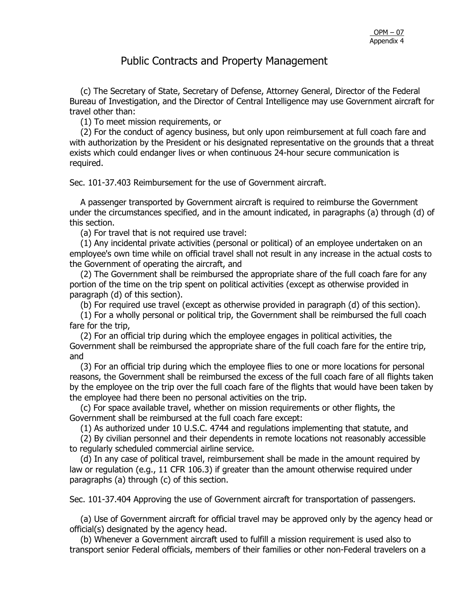(c) The Secretary of State, Secretary of Defense, Attorney General, Director of the Federal Bureau of Investigation, and the Director of Central Intelligence may use Government aircraft for travel other than:

(1) To meet mission requirements, or

 (2) For the conduct of agency business, but only upon reimbursement at full coach fare and with authorization by the President or his designated representative on the grounds that a threat exists which could endanger lives or when continuous 24-hour secure communication is required.

Sec. 101-37.403 Reimbursement for the use of Government aircraft.

 A passenger transported by Government aircraft is required to reimburse the Government under the circumstances specified, and in the amount indicated, in paragraphs (a) through (d) of this section.

(a) For travel that is not required use travel:

 (1) Any incidental private activities (personal or political) of an employee undertaken on an employee's own time while on official travel shall not result in any increase in the actual costs to the Government of operating the aircraft, and

 (2) The Government shall be reimbursed the appropriate share of the full coach fare for any portion of the time on the trip spent on political activities (except as otherwise provided in paragraph (d) of this section).

(b) For required use travel (except as otherwise provided in paragraph (d) of this section).

 (1) For a wholly personal or political trip, the Government shall be reimbursed the full coach fare for the trip,

 (2) For an official trip during which the employee engages in political activities, the Government shall be reimbursed the appropriate share of the full coach fare for the entire trip, and

 (3) For an official trip during which the employee flies to one or more locations for personal reasons, the Government shall be reimbursed the excess of the full coach fare of all flights taken by the employee on the trip over the full coach fare of the flights that would have been taken by the employee had there been no personal activities on the trip.

 (c) For space available travel, whether on mission requirements or other flights, the Government shall be reimbursed at the full coach fare except:

(1) As authorized under 10 U.S.C. 4744 and regulations implementing that statute, and

 (2) By civilian personnel and their dependents in remote locations not reasonably accessible to regularly scheduled commercial airline service.

 (d) In any case of political travel, reimbursement shall be made in the amount required by law or regulation (e.g., 11 CFR 106.3) if greater than the amount otherwise required under paragraphs (a) through (c) of this section.

Sec. 101-37.404 Approving the use of Government aircraft for transportation of passengers.

 (a) Use of Government aircraft for official travel may be approved only by the agency head or official(s) designated by the agency head.

 (b) Whenever a Government aircraft used to fulfill a mission requirement is used also to transport senior Federal officials, members of their families or other non-Federal travelers on a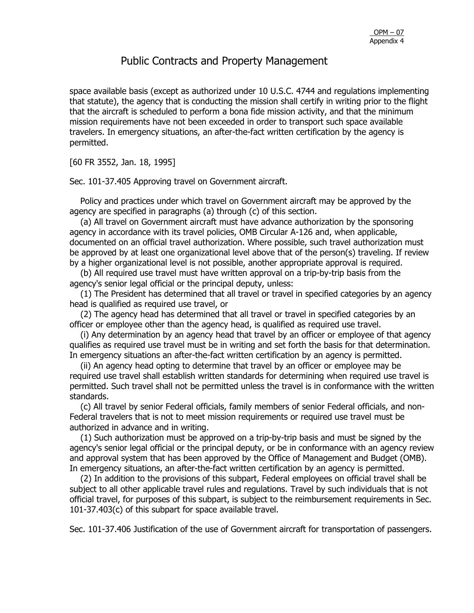space available basis (except as authorized under 10 U.S.C. 4744 and regulations implementing that statute), the agency that is conducting the mission shall certify in writing prior to the flight that the aircraft is scheduled to perform a bona fide mission activity, and that the minimum mission requirements have not been exceeded in order to transport such space available travelers. In emergency situations, an after-the-fact written certification by the agency is permitted.

[60 FR 3552, Jan. 18, 1995]

Sec. 101-37.405 Approving travel on Government aircraft.

 Policy and practices under which travel on Government aircraft may be approved by the agency are specified in paragraphs (a) through (c) of this section.

 (a) All travel on Government aircraft must have advance authorization by the sponsoring agency in accordance with its travel policies, OMB Circular A-126 and, when applicable, documented on an official travel authorization. Where possible, such travel authorization must be approved by at least one organizational level above that of the person(s) traveling. If review by a higher organizational level is not possible, another appropriate approval is required.

 (b) All required use travel must have written approval on a trip-by-trip basis from the agency's senior legal official or the principal deputy, unless:

 (1) The President has determined that all travel or travel in specified categories by an agency head is qualified as required use travel, or

 (2) The agency head has determined that all travel or travel in specified categories by an officer or employee other than the agency head, is qualified as required use travel.

 (i) Any determination by an agency head that travel by an officer or employee of that agency qualifies as required use travel must be in writing and set forth the basis for that determination. In emergency situations an after-the-fact written certification by an agency is permitted.

 (ii) An agency head opting to determine that travel by an officer or employee may be required use travel shall establish written standards for determining when required use travel is permitted. Such travel shall not be permitted unless the travel is in conformance with the written standards.

 (c) All travel by senior Federal officials, family members of senior Federal officials, and non-Federal travelers that is not to meet mission requirements or required use travel must be authorized in advance and in writing.

 (1) Such authorization must be approved on a trip-by-trip basis and must be signed by the agency's senior legal official or the principal deputy, or be in conformance with an agency review and approval system that has been approved by the Office of Management and Budget (OMB). In emergency situations, an after-the-fact written certification by an agency is permitted.

 (2) In addition to the provisions of this subpart, Federal employees on official travel shall be subject to all other applicable travel rules and regulations. Travel by such individuals that is not official travel, for purposes of this subpart, is subject to the reimbursement requirements in Sec. 101-37.403(c) of this subpart for space available travel.

Sec. 101-37.406 Justification of the use of Government aircraft for transportation of passengers.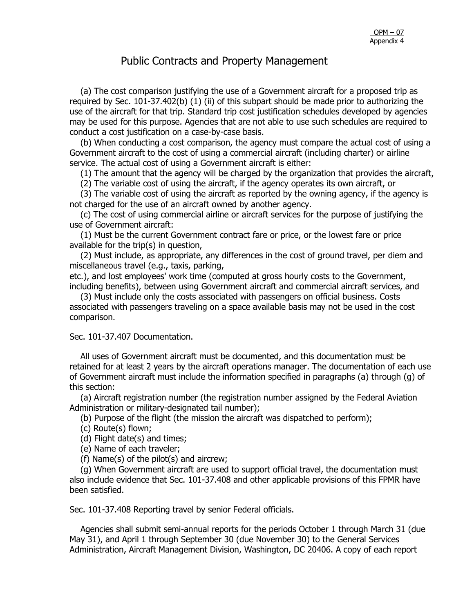(a) The cost comparison justifying the use of a Government aircraft for a proposed trip as required by Sec. 101-37.402(b) (1) (ii) of this subpart should be made prior to authorizing the use of the aircraft for that trip. Standard trip cost justification schedules developed by agencies may be used for this purpose. Agencies that are not able to use such schedules are required to conduct a cost justification on a case-by-case basis.

 (b) When conducting a cost comparison, the agency must compare the actual cost of using a Government aircraft to the cost of using a commercial aircraft (including charter) or airline service. The actual cost of using a Government aircraft is either:

(1) The amount that the agency will be charged by the organization that provides the aircraft,

(2) The variable cost of using the aircraft, if the agency operates its own aircraft, or

 (3) The variable cost of using the aircraft as reported by the owning agency, if the agency is not charged for the use of an aircraft owned by another agency.

 (c) The cost of using commercial airline or aircraft services for the purpose of justifying the use of Government aircraft:

 (1) Must be the current Government contract fare or price, or the lowest fare or price available for the trip(s) in question,

 (2) Must include, as appropriate, any differences in the cost of ground travel, per diem and miscellaneous travel (e.g., taxis, parking,

etc.), and lost employees' work time (computed at gross hourly costs to the Government, including benefits), between using Government aircraft and commercial aircraft services, and

 (3) Must include only the costs associated with passengers on official business. Costs associated with passengers traveling on a space available basis may not be used in the cost comparison.

Sec. 101-37.407 Documentation.

 All uses of Government aircraft must be documented, and this documentation must be retained for at least 2 years by the aircraft operations manager. The documentation of each use of Government aircraft must include the information specified in paragraphs (a) through (g) of this section:

 (a) Aircraft registration number (the registration number assigned by the Federal Aviation Administration or military-designated tail number);

(b) Purpose of the flight (the mission the aircraft was dispatched to perform);

(c) Route(s) flown;

(d) Flight date(s) and times;

(e) Name of each traveler;

(f) Name(s) of the pilot(s) and aircrew;

 (g) When Government aircraft are used to support official travel, the documentation must also include evidence that Sec. 101-37.408 and other applicable provisions of this FPMR have been satisfied.

Sec. 101-37.408 Reporting travel by senior Federal officials.

 Agencies shall submit semi-annual reports for the periods October 1 through March 31 (due May 31), and April 1 through September 30 (due November 30) to the General Services Administration, Aircraft Management Division, Washington, DC 20406. A copy of each report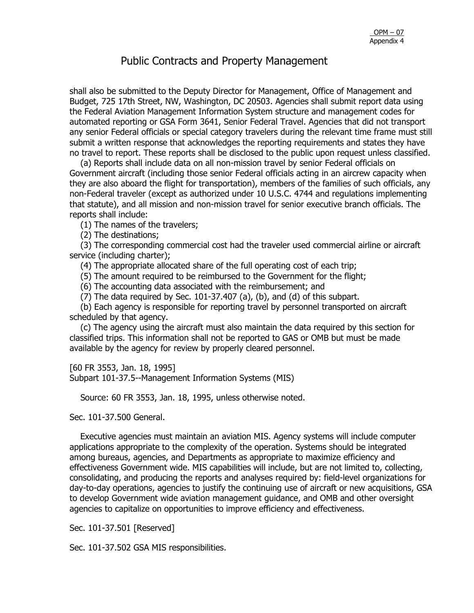shall also be submitted to the Deputy Director for Management, Office of Management and Budget, 725 17th Street, NW, Washington, DC 20503. Agencies shall submit report data using the Federal Aviation Management Information System structure and management codes for automated reporting or GSA Form 3641, Senior Federal Travel. Agencies that did not transport any senior Federal officials or special category travelers during the relevant time frame must still submit a written response that acknowledges the reporting requirements and states they have no travel to report. These reports shall be disclosed to the public upon request unless classified.

 (a) Reports shall include data on all non-mission travel by senior Federal officials on Government aircraft (including those senior Federal officials acting in an aircrew capacity when they are also aboard the flight for transportation), members of the families of such officials, any non-Federal traveler (except as authorized under 10 U.S.C. 4744 and regulations implementing that statute), and all mission and non-mission travel for senior executive branch officials. The reports shall include:

(1) The names of the travelers;

(2) The destinations;

 (3) The corresponding commercial cost had the traveler used commercial airline or aircraft service (including charter);

(4) The appropriate allocated share of the full operating cost of each trip;

(5) The amount required to be reimbursed to the Government for the flight;

(6) The accounting data associated with the reimbursement; and

(7) The data required by Sec. 101-37.407 (a), (b), and (d) of this subpart.

 (b) Each agency is responsible for reporting travel by personnel transported on aircraft scheduled by that agency.

 (c) The agency using the aircraft must also maintain the data required by this section for classified trips. This information shall not be reported to GAS or OMB but must be made available by the agency for review by properly cleared personnel.

[60 FR 3553, Jan. 18, 1995] Subpart 101-37.5--Management Information Systems (MIS)

Source: 60 FR 3553, Jan. 18, 1995, unless otherwise noted.

Sec. 101-37.500 General.

 Executive agencies must maintain an aviation MIS. Agency systems will include computer applications appropriate to the complexity of the operation. Systems should be integrated among bureaus, agencies, and Departments as appropriate to maximize efficiency and effectiveness Government wide. MIS capabilities will include, but are not limited to, collecting, consolidating, and producing the reports and analyses required by: field-level organizations for day-to-day operations, agencies to justify the continuing use of aircraft or new acquisitions, GSA to develop Government wide aviation management guidance, and OMB and other oversight agencies to capitalize on opportunities to improve efficiency and effectiveness.

Sec. 101-37.501 [Reserved]

Sec. 101-37.502 GSA MIS responsibilities.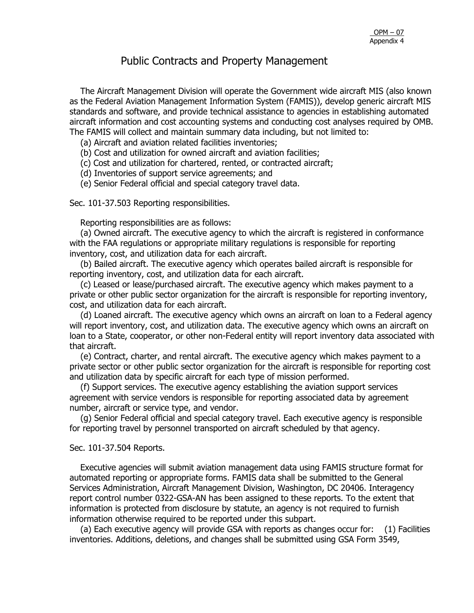The Aircraft Management Division will operate the Government wide aircraft MIS (also known as the Federal Aviation Management Information System (FAMIS)), develop generic aircraft MIS standards and software, and provide technical assistance to agencies in establishing automated aircraft information and cost accounting systems and conducting cost analyses required by OMB. The FAMIS will collect and maintain summary data including, but not limited to:

(a) Aircraft and aviation related facilities inventories;

(b) Cost and utilization for owned aircraft and aviation facilities;

(c) Cost and utilization for chartered, rented, or contracted aircraft;

(d) Inventories of support service agreements; and

(e) Senior Federal official and special category travel data.

Sec. 101-37.503 Reporting responsibilities.

Reporting responsibilities are as follows:

 (a) Owned aircraft. The executive agency to which the aircraft is registered in conformance with the FAA regulations or appropriate military regulations is responsible for reporting inventory, cost, and utilization data for each aircraft.

 (b) Bailed aircraft. The executive agency which operates bailed aircraft is responsible for reporting inventory, cost, and utilization data for each aircraft.

 (c) Leased or lease/purchased aircraft. The executive agency which makes payment to a private or other public sector organization for the aircraft is responsible for reporting inventory, cost, and utilization data for each aircraft.

 (d) Loaned aircraft. The executive agency which owns an aircraft on loan to a Federal agency will report inventory, cost, and utilization data. The executive agency which owns an aircraft on loan to a State, cooperator, or other non-Federal entity will report inventory data associated with that aircraft.

 (e) Contract, charter, and rental aircraft. The executive agency which makes payment to a private sector or other public sector organization for the aircraft is responsible for reporting cost and utilization data by specific aircraft for each type of mission performed.

 (f) Support services. The executive agency establishing the aviation support services agreement with service vendors is responsible for reporting associated data by agreement number, aircraft or service type, and vendor.

 (g) Senior Federal official and special category travel. Each executive agency is responsible for reporting travel by personnel transported on aircraft scheduled by that agency.

#### Sec. 101-37.504 Reports.

 Executive agencies will submit aviation management data using FAMIS structure format for automated reporting or appropriate forms. FAMIS data shall be submitted to the General Services Administration, Aircraft Management Division, Washington, DC 20406. Interagency report control number 0322-GSA-AN has been assigned to these reports. To the extent that information is protected from disclosure by statute, an agency is not required to furnish information otherwise required to be reported under this subpart.

 (a) Each executive agency will provide GSA with reports as changes occur for: (1) Facilities inventories. Additions, deletions, and changes shall be submitted using GSA Form 3549,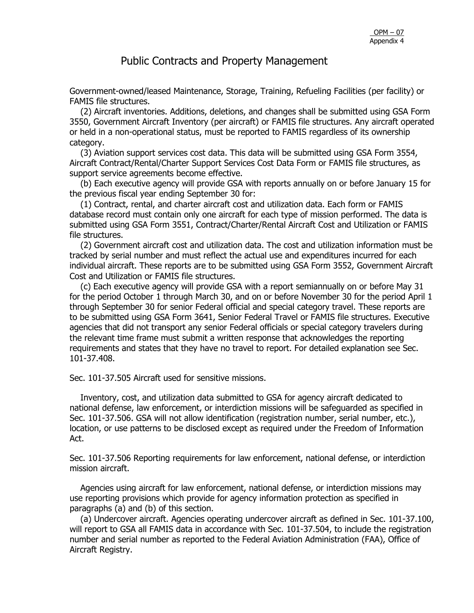Government-owned/leased Maintenance, Storage, Training, Refueling Facilities (per facility) or FAMIS file structures.

 (2) Aircraft inventories. Additions, deletions, and changes shall be submitted using GSA Form 3550, Government Aircraft Inventory (per aircraft) or FAMIS file structures. Any aircraft operated or held in a non-operational status, must be reported to FAMIS regardless of its ownership category.

 (3) Aviation support services cost data. This data will be submitted using GSA Form 3554, Aircraft Contract/Rental/Charter Support Services Cost Data Form or FAMIS file structures, as support service agreements become effective.

 (b) Each executive agency will provide GSA with reports annually on or before January 15 for the previous fiscal year ending September 30 for:

 (1) Contract, rental, and charter aircraft cost and utilization data. Each form or FAMIS database record must contain only one aircraft for each type of mission performed. The data is submitted using GSA Form 3551, Contract/Charter/Rental Aircraft Cost and Utilization or FAMIS file structures.

 (2) Government aircraft cost and utilization data. The cost and utilization information must be tracked by serial number and must reflect the actual use and expenditures incurred for each individual aircraft. These reports are to be submitted using GSA Form 3552, Government Aircraft Cost and Utilization or FAMIS file structures.

 (c) Each executive agency will provide GSA with a report semiannually on or before May 31 for the period October 1 through March 30, and on or before November 30 for the period April 1 through September 30 for senior Federal official and special category travel. These reports are to be submitted using GSA Form 3641, Senior Federal Travel or FAMIS file structures. Executive agencies that did not transport any senior Federal officials or special category travelers during the relevant time frame must submit a written response that acknowledges the reporting requirements and states that they have no travel to report. For detailed explanation see Sec. 101-37.408.

Sec. 101-37.505 Aircraft used for sensitive missions.

 Inventory, cost, and utilization data submitted to GSA for agency aircraft dedicated to national defense, law enforcement, or interdiction missions will be safeguarded as specified in Sec. 101-37.506. GSA will not allow identification (registration number, serial number, etc.), location, or use patterns to be disclosed except as required under the Freedom of Information Act.

Sec. 101-37.506 Reporting requirements for law enforcement, national defense, or interdiction mission aircraft.

 Agencies using aircraft for law enforcement, national defense, or interdiction missions may use reporting provisions which provide for agency information protection as specified in paragraphs (a) and (b) of this section.

 (a) Undercover aircraft. Agencies operating undercover aircraft as defined in Sec. 101-37.100, will report to GSA all FAMIS data in accordance with Sec. 101-37.504, to include the registration number and serial number as reported to the Federal Aviation Administration (FAA), Office of Aircraft Registry.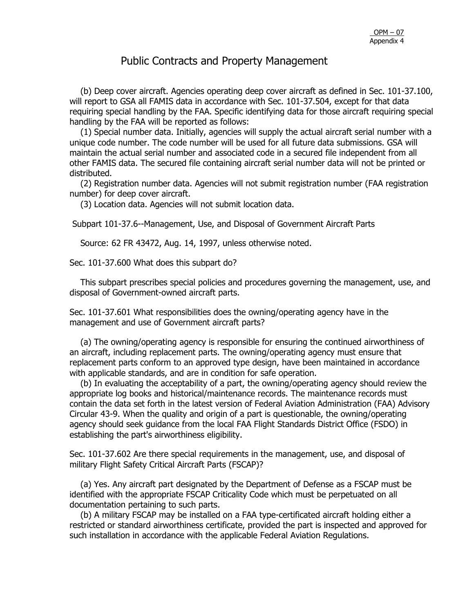(b) Deep cover aircraft. Agencies operating deep cover aircraft as defined in Sec. 101-37.100, will report to GSA all FAMIS data in accordance with Sec. 101-37.504, except for that data requiring special handling by the FAA. Specific identifying data for those aircraft requiring special handling by the FAA will be reported as follows:

 (1) Special number data. Initially, agencies will supply the actual aircraft serial number with a unique code number. The code number will be used for all future data submissions. GSA will maintain the actual serial number and associated code in a secured file independent from all other FAMIS data. The secured file containing aircraft serial number data will not be printed or distributed.

 (2) Registration number data. Agencies will not submit registration number (FAA registration number) for deep cover aircraft.

(3) Location data. Agencies will not submit location data.

Subpart 101-37.6--Management, Use, and Disposal of Government Aircraft Parts

Source: 62 FR 43472, Aug. 14, 1997, unless otherwise noted.

Sec. 101-37.600 What does this subpart do?

 This subpart prescribes special policies and procedures governing the management, use, and disposal of Government-owned aircraft parts.

Sec. 101-37.601 What responsibilities does the owning/operating agency have in the management and use of Government aircraft parts?

 (a) The owning/operating agency is responsible for ensuring the continued airworthiness of an aircraft, including replacement parts. The owning/operating agency must ensure that replacement parts conform to an approved type design, have been maintained in accordance with applicable standards, and are in condition for safe operation.

 (b) In evaluating the acceptability of a part, the owning/operating agency should review the appropriate log books and historical/maintenance records. The maintenance records must contain the data set forth in the latest version of Federal Aviation Administration (FAA) Advisory Circular 43-9. When the quality and origin of a part is questionable, the owning/operating agency should seek guidance from the local FAA Flight Standards District Office (FSDO) in establishing the part's airworthiness eligibility.

Sec. 101-37.602 Are there special requirements in the management, use, and disposal of military Flight Safety Critical Aircraft Parts (FSCAP)?

 (a) Yes. Any aircraft part designated by the Department of Defense as a FSCAP must be identified with the appropriate FSCAP Criticality Code which must be perpetuated on all documentation pertaining to such parts.

 (b) A military FSCAP may be installed on a FAA type-certificated aircraft holding either a restricted or standard airworthiness certificate, provided the part is inspected and approved for such installation in accordance with the applicable Federal Aviation Regulations.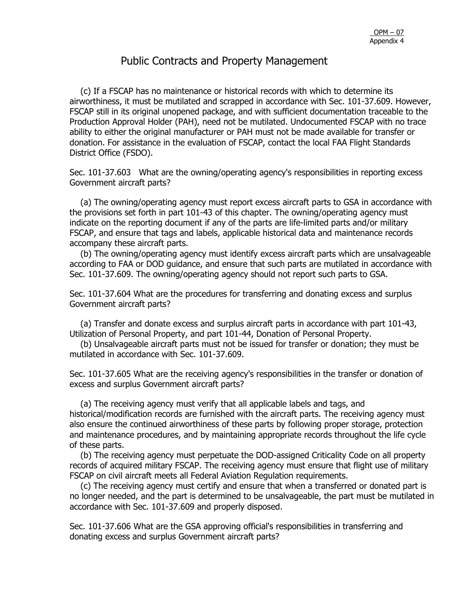(c) If a FSCAP has no maintenance or historical records with which to determine its airworthiness, it must be mutilated and scrapped in accordance with Sec. 101-37.609. However, FSCAP still in its original unopened package, and with sufficient documentation traceable to the Production Approval Holder (PAH), need not be mutilated. Undocumented FSCAP with no trace ability to either the original manufacturer or PAH must not be made available for transfer or donation. For assistance in the evaluation of FSCAP, contact the local FAA Flight Standards District Office (FSDO).

Sec. 101-37.603 What are the owning/operating agency's responsibilities in reporting excess Government aircraft parts?

 (a) The owning/operating agency must report excess aircraft parts to GSA in accordance with the provisions set forth in part 101-43 of this chapter. The owning/operating agency must indicate on the reporting document if any of the parts are life-limited parts and/or military FSCAP, and ensure that tags and labels, applicable historical data and maintenance records accompany these aircraft parts.

 (b) The owning/operating agency must identify excess aircraft parts which are unsalvageable according to FAA or DOD guidance, and ensure that such parts are mutilated in accordance with Sec. 101-37.609. The owning/operating agency should not report such parts to GSA.

Sec. 101-37.604 What are the procedures for transferring and donating excess and surplus Government aircraft parts?

 (a) Transfer and donate excess and surplus aircraft parts in accordance with part 101-43, Utilization of Personal Property, and part 101-44, Donation of Personal Property.

 (b) Unsalvageable aircraft parts must not be issued for transfer or donation; they must be mutilated in accordance with Sec. 101-37.609.

Sec. 101-37.605 What are the receiving agency's responsibilities in the transfer or donation of excess and surplus Government aircraft parts?

 (a) The receiving agency must verify that all applicable labels and tags, and historical/modification records are furnished with the aircraft parts. The receiving agency must also ensure the continued airworthiness of these parts by following proper storage, protection and maintenance procedures, and by maintaining appropriate records throughout the life cycle of these parts.

 (b) The receiving agency must perpetuate the DOD-assigned Criticality Code on all property records of acquired military FSCAP. The receiving agency must ensure that flight use of military FSCAP on civil aircraft meets all Federal Aviation Regulation requirements.

 (c) The receiving agency must certify and ensure that when a transferred or donated part is no longer needed, and the part is determined to be unsalvageable, the part must be mutilated in accordance with Sec. 101-37.609 and properly disposed.

Sec. 101-37.606 What are the GSA approving official's responsibilities in transferring and donating excess and surplus Government aircraft parts?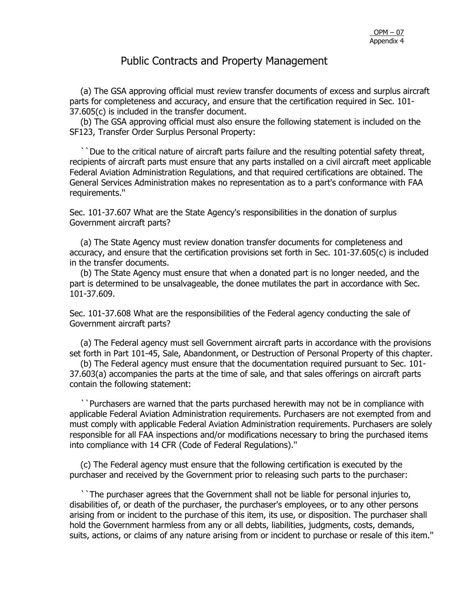(a) The GSA approving official must review transfer documents of excess and surplus aircraft parts for completeness and accuracy, and ensure that the certification required in Sec. 101- 37.605(c) is included in the transfer document.

 (b) The GSA approving official must also ensure the following statement is included on the SF123, Transfer Order Surplus Personal Property:

 ``Due to the critical nature of aircraft parts failure and the resulting potential safety threat, recipients of aircraft parts must ensure that any parts installed on a civil aircraft meet applicable Federal Aviation Administration Regulations, and that required certifications are obtained. The General Services Administration makes no representation as to a part's conformance with FAA requirements.''

Sec. 101-37.607 What are the State Agency's responsibilities in the donation of surplus Government aircraft parts?

 (a) The State Agency must review donation transfer documents for completeness and accuracy, and ensure that the certification provisions set forth in Sec. 101-37.605(c) is included in the transfer documents.

 (b) The State Agency must ensure that when a donated part is no longer needed, and the part is determined to be unsalvageable, the donee mutilates the part in accordance with Sec. 101-37.609.

Sec. 101-37.608 What are the responsibilities of the Federal agency conducting the sale of Government aircraft parts?

 (a) The Federal agency must sell Government aircraft parts in accordance with the provisions set forth in Part 101-45, Sale, Abandonment, or Destruction of Personal Property of this chapter.

 (b) The Federal agency must ensure that the documentation required pursuant to Sec. 101- 37.603(a) accompanies the parts at the time of sale, and that sales offerings on aircraft parts contain the following statement:

 ``Purchasers are warned that the parts purchased herewith may not be in compliance with applicable Federal Aviation Administration requirements. Purchasers are not exempted from and must comply with applicable Federal Aviation Administration requirements. Purchasers are solely responsible for all FAA inspections and/or modifications necessary to bring the purchased items into compliance with 14 CFR (Code of Federal Regulations).''

 (c) The Federal agency must ensure that the following certification is executed by the purchaser and received by the Government prior to releasing such parts to the purchaser:

 ``The purchaser agrees that the Government shall not be liable for personal injuries to, disabilities of, or death of the purchaser, the purchaser's employees, or to any other persons arising from or incident to the purchase of this item, its use, or disposition. The purchaser shall hold the Government harmless from any or all debts, liabilities, judgments, costs, demands, suits, actions, or claims of any nature arising from or incident to purchase or resale of this item.''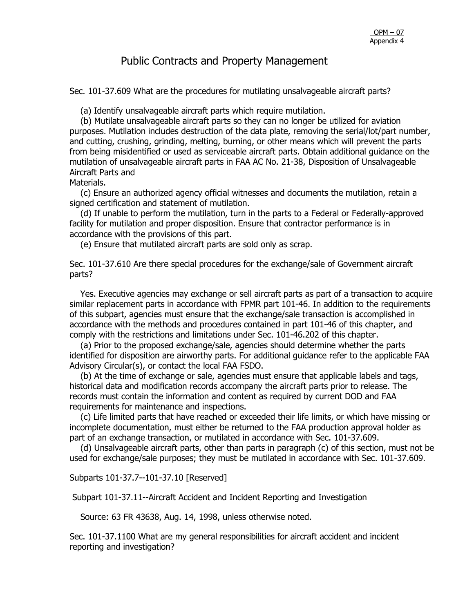Sec. 101-37.609 What are the procedures for mutilating unsalvageable aircraft parts?

(a) Identify unsalvageable aircraft parts which require mutilation.

 (b) Mutilate unsalvageable aircraft parts so they can no longer be utilized for aviation purposes. Mutilation includes destruction of the data plate, removing the serial/lot/part number, and cutting, crushing, grinding, melting, burning, or other means which will prevent the parts from being misidentified or used as serviceable aircraft parts. Obtain additional guidance on the mutilation of unsalvageable aircraft parts in FAA AC No. 21-38, Disposition of Unsalvageable Aircraft Parts and

Materials.

 (c) Ensure an authorized agency official witnesses and documents the mutilation, retain a signed certification and statement of mutilation.

 (d) If unable to perform the mutilation, turn in the parts to a Federal or Federally-approved facility for mutilation and proper disposition. Ensure that contractor performance is in accordance with the provisions of this part.

(e) Ensure that mutilated aircraft parts are sold only as scrap.

Sec. 101-37.610 Are there special procedures for the exchange/sale of Government aircraft parts?

 Yes. Executive agencies may exchange or sell aircraft parts as part of a transaction to acquire similar replacement parts in accordance with FPMR part 101-46. In addition to the requirements of this subpart, agencies must ensure that the exchange/sale transaction is accomplished in accordance with the methods and procedures contained in part 101-46 of this chapter, and comply with the restrictions and limitations under Sec. 101-46.202 of this chapter.

 (a) Prior to the proposed exchange/sale, agencies should determine whether the parts identified for disposition are airworthy parts. For additional guidance refer to the applicable FAA Advisory Circular(s), or contact the local FAA FSDO.

 (b) At the time of exchange or sale, agencies must ensure that applicable labels and tags, historical data and modification records accompany the aircraft parts prior to release. The records must contain the information and content as required by current DOD and FAA requirements for maintenance and inspections.

 (c) Life limited parts that have reached or exceeded their life limits, or which have missing or incomplete documentation, must either be returned to the FAA production approval holder as part of an exchange transaction, or mutilated in accordance with Sec. 101-37.609.

 (d) Unsalvageable aircraft parts, other than parts in paragraph (c) of this section, must not be used for exchange/sale purposes; they must be mutilated in accordance with Sec. 101-37.609.

Subparts 101-37.7--101-37.10 [Reserved]

Subpart 101-37.11--Aircraft Accident and Incident Reporting and Investigation

Source: 63 FR 43638, Aug. 14, 1998, unless otherwise noted.

Sec. 101-37.1100 What are my general responsibilities for aircraft accident and incident reporting and investigation?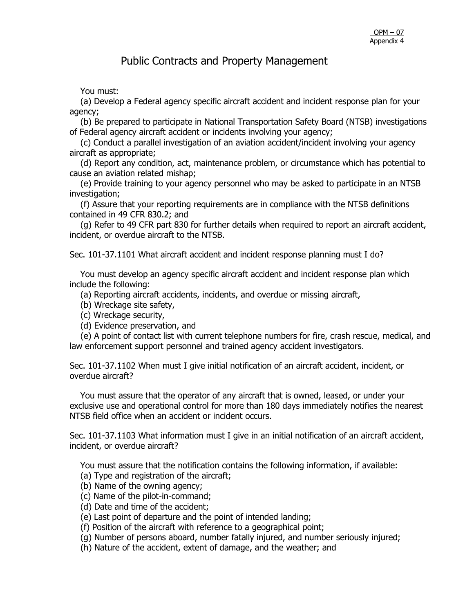You must:

 (a) Develop a Federal agency specific aircraft accident and incident response plan for your agency;

 (b) Be prepared to participate in National Transportation Safety Board (NTSB) investigations of Federal agency aircraft accident or incidents involving your agency;

 (c) Conduct a parallel investigation of an aviation accident/incident involving your agency aircraft as appropriate;

 (d) Report any condition, act, maintenance problem, or circumstance which has potential to cause an aviation related mishap;

 (e) Provide training to your agency personnel who may be asked to participate in an NTSB investigation:

 (f) Assure that your reporting requirements are in compliance with the NTSB definitions contained in 49 CFR 830.2; and

 (g) Refer to 49 CFR part 830 for further details when required to report an aircraft accident, incident, or overdue aircraft to the NTSB.

Sec. 101-37.1101 What aircraft accident and incident response planning must I do?

 You must develop an agency specific aircraft accident and incident response plan which include the following:

(a) Reporting aircraft accidents, incidents, and overdue or missing aircraft,

(b) Wreckage site safety,

(c) Wreckage security,

(d) Evidence preservation, and

 (e) A point of contact list with current telephone numbers for fire, crash rescue, medical, and law enforcement support personnel and trained agency accident investigators.

Sec. 101-37.1102 When must I give initial notification of an aircraft accident, incident, or overdue aircraft?

 You must assure that the operator of any aircraft that is owned, leased, or under your exclusive use and operational control for more than 180 days immediately notifies the nearest NTSB field office when an accident or incident occurs.

Sec. 101-37.1103 What information must I give in an initial notification of an aircraft accident, incident, or overdue aircraft?

You must assure that the notification contains the following information, if available:

(a) Type and registration of the aircraft;

- (b) Name of the owning agency;
- (c) Name of the pilot-in-command;

(d) Date and time of the accident;

(e) Last point of departure and the point of intended landing;

(f) Position of the aircraft with reference to a geographical point;

(g) Number of persons aboard, number fatally injured, and number seriously injured;

(h) Nature of the accident, extent of damage, and the weather; and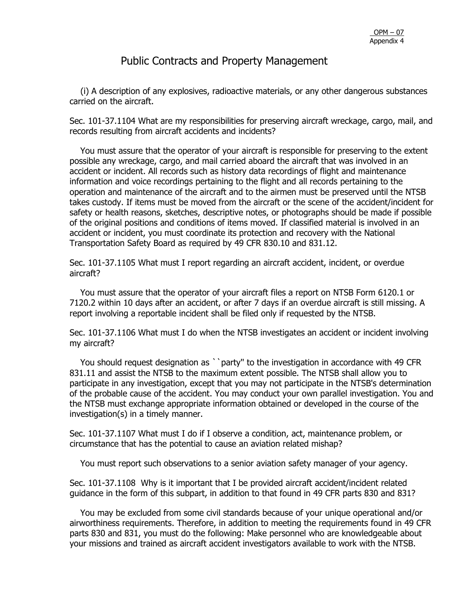(i) A description of any explosives, radioactive materials, or any other dangerous substances carried on the aircraft.

Sec. 101-37.1104 What are my responsibilities for preserving aircraft wreckage, cargo, mail, and records resulting from aircraft accidents and incidents?

 You must assure that the operator of your aircraft is responsible for preserving to the extent possible any wreckage, cargo, and mail carried aboard the aircraft that was involved in an accident or incident. All records such as history data recordings of flight and maintenance information and voice recordings pertaining to the flight and all records pertaining to the operation and maintenance of the aircraft and to the airmen must be preserved until the NTSB takes custody. If items must be moved from the aircraft or the scene of the accident/incident for safety or health reasons, sketches, descriptive notes, or photographs should be made if possible of the original positions and conditions of items moved. If classified material is involved in an accident or incident, you must coordinate its protection and recovery with the National Transportation Safety Board as required by 49 CFR 830.10 and 831.12.

Sec. 101-37.1105 What must I report regarding an aircraft accident, incident, or overdue aircraft?

 You must assure that the operator of your aircraft files a report on NTSB Form 6120.1 or 7120.2 within 10 days after an accident, or after 7 days if an overdue aircraft is still missing. A report involving a reportable incident shall be filed only if requested by the NTSB.

Sec. 101-37.1106 What must I do when the NTSB investigates an accident or incident involving my aircraft?

You should request designation as ``party" to the investigation in accordance with 49 CFR 831.11 and assist the NTSB to the maximum extent possible. The NTSB shall allow you to participate in any investigation, except that you may not participate in the NTSB's determination of the probable cause of the accident. You may conduct your own parallel investigation. You and the NTSB must exchange appropriate information obtained or developed in the course of the investigation(s) in a timely manner.

Sec. 101-37.1107 What must I do if I observe a condition, act, maintenance problem, or circumstance that has the potential to cause an aviation related mishap?

You must report such observations to a senior aviation safety manager of your agency.

Sec. 101-37.1108 Why is it important that I be provided aircraft accident/incident related guidance in the form of this subpart, in addition to that found in 49 CFR parts 830 and 831?

 You may be excluded from some civil standards because of your unique operational and/or airworthiness requirements. Therefore, in addition to meeting the requirements found in 49 CFR parts 830 and 831, you must do the following: Make personnel who are knowledgeable about your missions and trained as aircraft accident investigators available to work with the NTSB.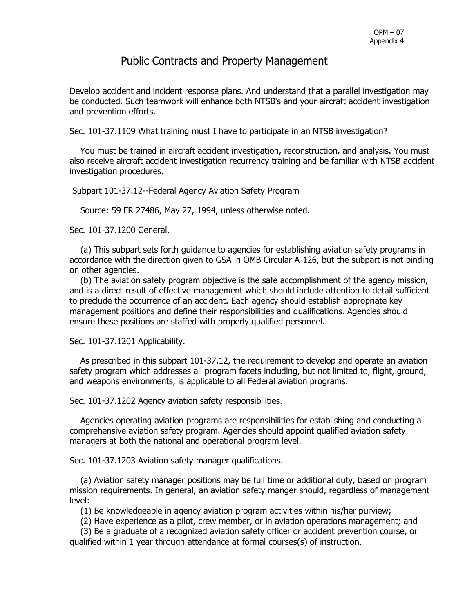Develop accident and incident response plans. And understand that a parallel investigation may be conducted. Such teamwork will enhance both NTSB's and your aircraft accident investigation and prevention efforts.

Sec. 101-37.1109 What training must I have to participate in an NTSB investigation?

 You must be trained in aircraft accident investigation, reconstruction, and analysis. You must also receive aircraft accident investigation recurrency training and be familiar with NTSB accident investigation procedures.

Subpart 101-37.12--Federal Agency Aviation Safety Program

Source: 59 FR 27486, May 27, 1994, unless otherwise noted.

Sec. 101-37.1200 General.

 (a) This subpart sets forth guidance to agencies for establishing aviation safety programs in accordance with the direction given to GSA in OMB Circular A-126, but the subpart is not binding on other agencies.

 (b) The aviation safety program objective is the safe accomplishment of the agency mission, and is a direct result of effective management which should include attention to detail sufficient to preclude the occurrence of an accident. Each agency should establish appropriate key management positions and define their responsibilities and qualifications. Agencies should ensure these positions are staffed with properly qualified personnel.

Sec. 101-37.1201 Applicability.

 As prescribed in this subpart 101-37.12, the requirement to develop and operate an aviation safety program which addresses all program facets including, but not limited to, flight, ground, and weapons environments, is applicable to all Federal aviation programs.

Sec. 101-37.1202 Agency aviation safety responsibilities.

 Agencies operating aviation programs are responsibilities for establishing and conducting a comprehensive aviation safety program. Agencies should appoint qualified aviation safety managers at both the national and operational program level.

Sec. 101-37.1203 Aviation safety manager qualifications.

 (a) Aviation safety manager positions may be full time or additional duty, based on program mission requirements. In general, an aviation safety manger should, regardless of management level:

(1) Be knowledgeable in agency aviation program activities within his/her purview;

(2) Have experience as a pilot, crew member, or in aviation operations management; and

 (3) Be a graduate of a recognized aviation safety officer or accident prevention course, or qualified within 1 year through attendance at formal courses(s) of instruction.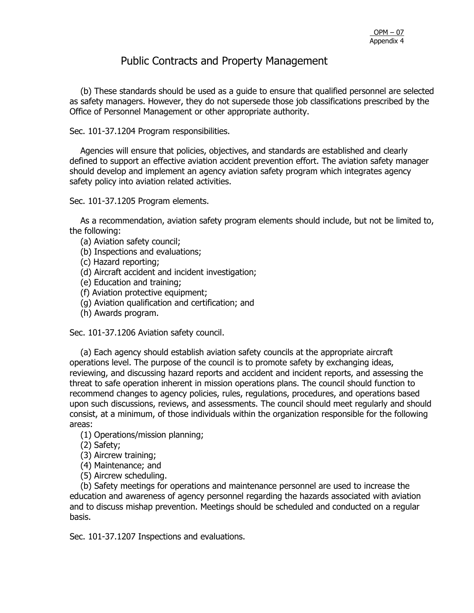(b) These standards should be used as a guide to ensure that qualified personnel are selected as safety managers. However, they do not supersede those job classifications prescribed by the Office of Personnel Management or other appropriate authority.

#### Sec. 101-37.1204 Program responsibilities.

 Agencies will ensure that policies, objectives, and standards are established and clearly defined to support an effective aviation accident prevention effort. The aviation safety manager should develop and implement an agency aviation safety program which integrates agency safety policy into aviation related activities.

Sec. 101-37.1205 Program elements.

 As a recommendation, aviation safety program elements should include, but not be limited to, the following:

- (a) Aviation safety council;
- (b) Inspections and evaluations;
- (c) Hazard reporting;
- (d) Aircraft accident and incident investigation;
- (e) Education and training;
- (f) Aviation protective equipment;
- (g) Aviation qualification and certification; and
- (h) Awards program.

Sec. 101-37.1206 Aviation safety council.

 (a) Each agency should establish aviation safety councils at the appropriate aircraft operations level. The purpose of the council is to promote safety by exchanging ideas, reviewing, and discussing hazard reports and accident and incident reports, and assessing the threat to safe operation inherent in mission operations plans. The council should function to recommend changes to agency policies, rules, regulations, procedures, and operations based upon such discussions, reviews, and assessments. The council should meet regularly and should consist, at a minimum, of those individuals within the organization responsible for the following areas:

- (1) Operations/mission planning;
- (2) Safety;
- (3) Aircrew training;
- (4) Maintenance; and
- (5) Aircrew scheduling.

 (b) Safety meetings for operations and maintenance personnel are used to increase the education and awareness of agency personnel regarding the hazards associated with aviation and to discuss mishap prevention. Meetings should be scheduled and conducted on a regular basis.

Sec. 101-37.1207 Inspections and evaluations.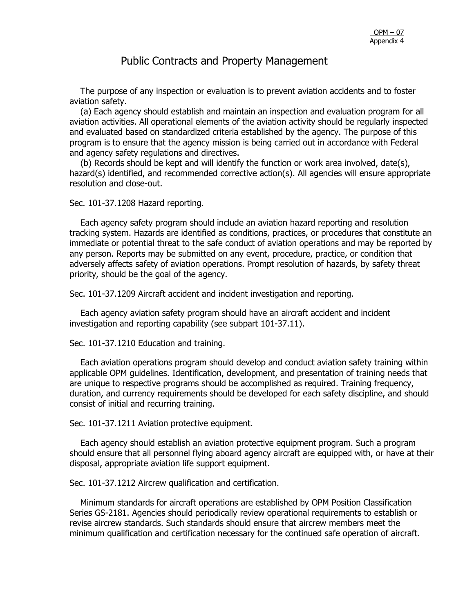The purpose of any inspection or evaluation is to prevent aviation accidents and to foster aviation safety.

 (a) Each agency should establish and maintain an inspection and evaluation program for all aviation activities. All operational elements of the aviation activity should be regularly inspected and evaluated based on standardized criteria established by the agency. The purpose of this program is to ensure that the agency mission is being carried out in accordance with Federal and agency safety regulations and directives.

 (b) Records should be kept and will identify the function or work area involved, date(s), hazard(s) identified, and recommended corrective action(s). All agencies will ensure appropriate resolution and close-out.

Sec. 101-37.1208 Hazard reporting.

 Each agency safety program should include an aviation hazard reporting and resolution tracking system. Hazards are identified as conditions, practices, or procedures that constitute an immediate or potential threat to the safe conduct of aviation operations and may be reported by any person. Reports may be submitted on any event, procedure, practice, or condition that adversely affects safety of aviation operations. Prompt resolution of hazards, by safety threat priority, should be the goal of the agency.

Sec. 101-37.1209 Aircraft accident and incident investigation and reporting.

 Each agency aviation safety program should have an aircraft accident and incident investigation and reporting capability (see subpart 101-37.11).

Sec. 101-37.1210 Education and training.

 Each aviation operations program should develop and conduct aviation safety training within applicable OPM guidelines. Identification, development, and presentation of training needs that are unique to respective programs should be accomplished as required. Training frequency, duration, and currency requirements should be developed for each safety discipline, and should consist of initial and recurring training.

Sec. 101-37.1211 Aviation protective equipment.

 Each agency should establish an aviation protective equipment program. Such a program should ensure that all personnel flying aboard agency aircraft are equipped with, or have at their disposal, appropriate aviation life support equipment.

Sec. 101-37.1212 Aircrew qualification and certification.

 Minimum standards for aircraft operations are established by OPM Position Classification Series GS-2181. Agencies should periodically review operational requirements to establish or revise aircrew standards. Such standards should ensure that aircrew members meet the minimum qualification and certification necessary for the continued safe operation of aircraft.